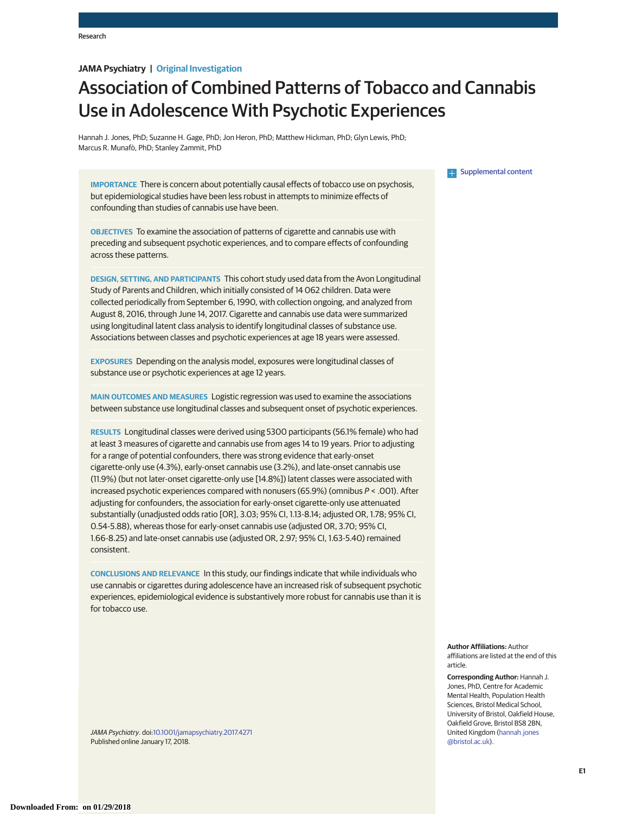# **JAMA Psychiatry | Original Investigation**

# Association of Combined Patterns of Tobacco and Cannabis Use in Adolescence With Psychotic Experiences

Hannah J. Jones, PhD; Suzanne H. Gage, PhD; Jon Heron, PhD; Matthew Hickman, PhD; Glyn Lewis, PhD; Marcus R. Munafò, PhD; Stanley Zammit, PhD

**IMPORTANCE** There is concern about potentially causal effects of tobacco use on psychosis, but epidemiological studies have been less robust in attempts to minimize effects of confounding than studies of cannabis use have been.

**OBJECTIVES** To examine the association of patterns of cigarette and cannabis use with preceding and subsequent psychotic experiences, and to compare effects of confounding across these patterns.

**DESIGN, SETTING, AND PARTICIPANTS** This cohort study used data from the Avon Longitudinal Study of Parents and Children, which initially consisted of 14 062 children. Data were collected periodically from September 6, 1990, with collection ongoing, and analyzed from August 8, 2016, through June 14, 2017. Cigarette and cannabis use data were summarized using longitudinal latent class analysis to identify longitudinal classes of substance use. Associations between classes and psychotic experiences at age 18 years were assessed.

**EXPOSURES** Depending on the analysis model, exposures were longitudinal classes of substance use or psychotic experiences at age 12 years.

**MAIN OUTCOMES AND MEASURES** Logistic regression was used to examine the associations between substance use longitudinal classes and subsequent onset of psychotic experiences.

**RESULTS** Longitudinal classes were derived using 5300 participants (56.1% female) who had at least 3 measures of cigarette and cannabis use from ages 14 to 19 years. Prior to adjusting for a range of potential confounders, there was strong evidence that early-onset cigarette-only use (4.3%), early-onset cannabis use (3.2%), and late-onset cannabis use (11.9%) (but not later-onset cigarette-only use [14.8%]) latent classes were associated with increased psychotic experiences compared with nonusers (65.9%) (omnibus P < .001). After adjusting for confounders, the association for early-onset cigarette-only use attenuated substantially (unadjusted odds ratio [OR], 3.03; 95% CI, 1.13-8.14; adjusted OR, 1.78; 95% CI, 0.54-5.88), whereas those for early-onset cannabis use (adjusted OR, 3.70; 95% CI, 1.66-8.25) and late-onset cannabis use (adjusted OR, 2.97; 95% CI, 1.63-5.40) remained consistent.

**CONCLUSIONS AND RELEVANCE** In this study, our findings indicate that while individuals who use cannabis or cigarettes during adolescence have an increased risk of subsequent psychotic experiences, epidemiological evidence is substantively more robust for cannabis use than it is for tobacco use.

**Examplemental content** 

**Author Affiliations:** Author affiliations are listed at the end of this article.

**Corresponding Author:** Hannah J. Jones, PhD, Centre for Academic Mental Health, Population Health Sciences, Bristol Medical School, University of Bristol, Oakfield House, Oakfield Grove, Bristol BS8 2BN, United Kingdom [\(hannah.jones](mailto:hannah.jones@bristol.ac.uk) [@bristol.ac.uk\)](mailto:hannah.jones@bristol.ac.uk).

JAMA Psychiatry. doi[:10.1001/jamapsychiatry.2017.4271](http://jama.jamanetwork.com/article.aspx?doi=10.1001/jamapsychiatry.2017.4271&utm_campaign=articlePDF%26utm_medium=articlePDFlink%26utm_source=articlePDF%26utm_content=jamapsychiatry.2017.4271) Published online January 17, 2018.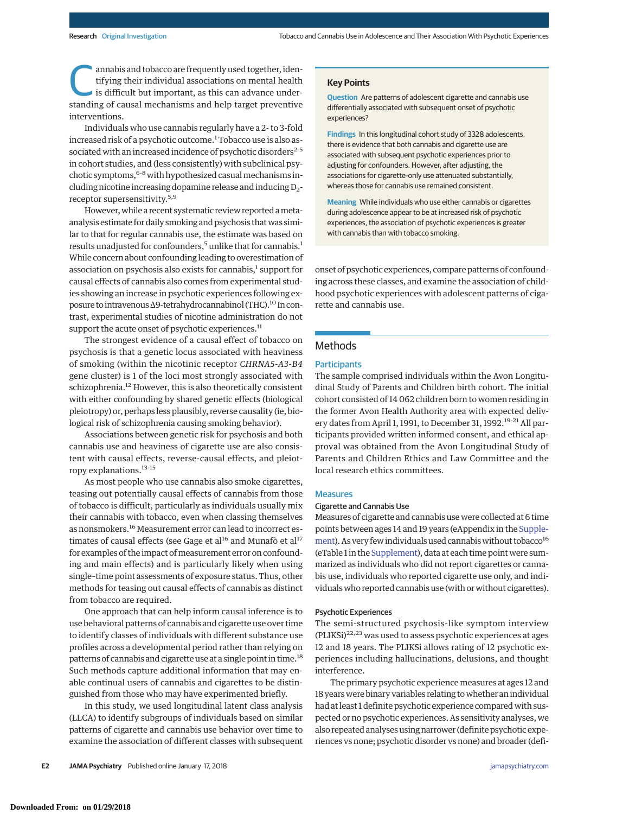annabis and tobacco are frequently used together, iden-<br>tifying their individual associations on mental health<br>is difficult but important, as this can advance under-<br>standing of causal mochanisms and bola target proventive tifying their individual associations on mental health standing of causal mechanisms and help target preventive interventions.

Individuals who use cannabis regularly have a 2- to 3-fold increased risk of a psychotic outcome.<sup>1</sup> Tobacco use is also associated with an increased incidence of psychotic disorders<sup>2-5</sup> in cohort studies, and (less consistently) with subclinical psychotic symptoms, <sup>6-8</sup> with hypothesized casual mechanisms including nicotine increasing dopamine release and inducing  $D_2$ receptor supersensitivity.<sup>5,9</sup>

However, while a recent systematic review reported a metaanalysis estimate for daily smoking and psychosis that was similar to that for regular cannabis use, the estimate was based on results unadjusted for confounders,<sup>5</sup> unlike that for cannabis.<sup>1</sup> While concern about confounding leading to overestimation of association on psychosis also exists for cannabis,<sup>1</sup> support for causal effects of cannabis also comes from experimental studies showing an increase in psychotic experiences following exposure to intravenous Δ9-tetrahydrocannabinol (THC).<sup>10</sup> In contrast, experimental studies of nicotine administration do not support the acute onset of psychotic experiences.<sup>11</sup>

The strongest evidence of a causal effect of tobacco on psychosis is that a genetic locus associated with heaviness of smoking (within the nicotinic receptor *CHRNA5-A3-B4* gene cluster) is 1 of the loci most strongly associated with schizophrenia.<sup>12</sup> However, this is also theoretically consistent with either confounding by shared genetic effects (biological pleiotropy) or, perhaps less plausibly, reverse causality (ie, biological risk of schizophrenia causing smoking behavior).

Associations between genetic risk for psychosis and both cannabis use and heaviness of cigarette use are also consistent with causal effects, reverse-causal effects, and pleiotropy explanations.<sup>13-15</sup>

As most people who use cannabis also smoke cigarettes, teasing out potentially causal effects of cannabis from those of tobacco is difficult, particularly as individuals usually mix their cannabis with tobacco, even when classing themselves as nonsmokers.<sup>16</sup> Measurement error can lead to incorrect estimates of causal effects (see Gage et al<sup>16</sup> and Munafò et al<sup>17</sup> for examples of the impact of measurement error on confounding and main effects) and is particularly likely when using single–time point assessments of exposure status. Thus, other methods for teasing out causal effects of cannabis as distinct from tobacco are required.

One approach that can help inform causal inference is to use behavioral patterns of cannabis and cigarette use over time to identify classes of individuals with different substance use profiles across a developmental period rather than relying on patterns of cannabis and cigarette use at a single point in time.<sup>18</sup> Such methods capture additional information that may enable continual users of cannabis and cigarettes to be distinguished from those who may have experimented briefly.

In this study, we used longitudinal latent class analysis (LLCA) to identify subgroups of individuals based on similar patterns of cigarette and cannabis use behavior over time to examine the association of different classes with subsequent

#### **Key Points**

**Question** Are patterns of adolescent cigarette and cannabis use differentially associated with subsequent onset of psychotic experiences?

**Findings** In this longitudinal cohort study of 3328 adolescents, there is evidence that both cannabis and cigarette use are associated with subsequent psychotic experiences prior to adjusting for confounders. However, after adjusting, the associations for cigarette-only use attenuated substantially, whereas those for cannabis use remained consistent.

**Meaning** While individuals who use either cannabis or cigarettes during adolescence appear to be at increased risk of psychotic experiences, the association of psychotic experiences is greater with cannabis than with tobacco smoking.

onset of psychotic experiences, compare patterns of confounding across these classes, and examine the association of childhood psychotic experiences with adolescent patterns of cigarette and cannabis use.

## **Methods**

## **Participants**

The sample comprised individuals within the Avon Longitudinal Study of Parents and Children birth cohort. The initial cohort consisted of 14 062 children born to women residing in the former Avon Health Authority area with expected delivery dates from April 1, 1991, to December 31, 1992.<sup>19-21</sup> All participants provided written informed consent, and ethical approval was obtained from the Avon Longitudinal Study of Parents and Children Ethics and Law Committee and the local research ethics committees.

#### **Measures**

#### Cigarette and Cannabis Use

Measures of cigarette and cannabis use were collected at 6 time points between ages 14 and 19 years (eAppendix in the [Supple](http://jama.jamanetwork.com/article.aspx?doi=10.1001/jamapsychiatry.2017.4271&utm_campaign=articlePDF%26utm_medium=articlePDFlink%26utm_source=articlePDF%26utm_content=jamapsychiatry.2017.4271)[ment\)](http://jama.jamanetwork.com/article.aspx?doi=10.1001/jamapsychiatry.2017.4271&utm_campaign=articlePDF%26utm_medium=articlePDFlink%26utm_source=articlePDF%26utm_content=jamapsychiatry.2017.4271). As very few individuals used cannabis without tobacco<sup>16</sup> (eTable 1 in the [Supplement\)](http://jama.jamanetwork.com/article.aspx?doi=10.1001/jamapsychiatry.2017.4271&utm_campaign=articlePDF%26utm_medium=articlePDFlink%26utm_source=articlePDF%26utm_content=jamapsychiatry.2017.4271), data at each time point were summarized as individuals who did not report cigarettes or cannabis use, individuals who reported cigarette use only, and individuals who reported cannabis use (with or without cigarettes).

#### Psychotic Experiences

The semi-structured psychosis-like symptom interview  $(PLIKSi)^{22,23}$  was used to assess psychotic experiences at ages 12 and 18 years. The PLIKSi allows rating of 12 psychotic experiences including hallucinations, delusions, and thought interference.

The primary psychotic experience measures at ages 12 and 18 years were binary variables relating to whether an individual had at least 1 definite psychotic experience compared with suspected or no psychotic experiences. As sensitivity analyses, we also repeated analyses using narrower (definite psychotic experiences vs none; psychotic disorder vs none) and broader (defi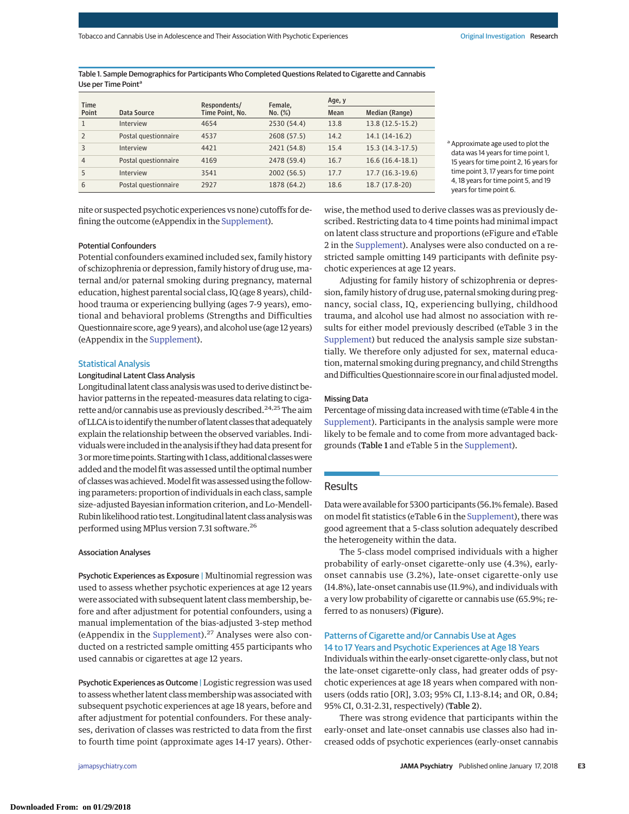Table 1. Sample Demographics for Participants Who Completed Questions Related to Cigarette and Cannabis Use per Time Point<sup>a</sup>

| <b>Time</b>    | Data Source          | Respondents/<br>Time Point, No. | Female,<br>No. (%) | Age, y      |                   |
|----------------|----------------------|---------------------------------|--------------------|-------------|-------------------|
| Point          |                      |                                 |                    | <b>Mean</b> | Median (Range)    |
|                | Interview            | 4654                            | 2530 (54.4)        | 13.8        | 13.8 (12.5-15.2)  |
|                | Postal questionnaire | 4537                            | 2608 (57.5)        | 14.2        | $14.1(14-16.2)$   |
| 3              | Interview            | 4421                            | 2421 (54.8)        | 15.4        | $15.3(14.3-17.5)$ |
| $\overline{4}$ | Postal questionnaire | 4169                            | 2478 (59.4)        | 16.7        | $16.6(16.4-18.1)$ |
| 5              | Interview            | 3541                            | 2002 (56.5)        | 17.7        | $17.7(16.3-19.6)$ |
| 6              | Postal questionnaire | 2927                            | 1878 (64.2)        | 18.6        | 18.7 (17.8-20)    |

<sup>a</sup> Approximate age used to plot the data was 14 years for time point 1, 15 years for time point 2, 16 years for time point 3, 17 years for time point 4, 18 years for time point 5, and 19 years for time point 6.

nite or suspected psychotic experiences vs none) cutoffs for defining the outcome (eAppendix in the [Supplement\)](http://jama.jamanetwork.com/article.aspx?doi=10.1001/jamapsychiatry.2017.4271&utm_campaign=articlePDF%26utm_medium=articlePDFlink%26utm_source=articlePDF%26utm_content=jamapsychiatry.2017.4271).

#### Potential Confounders

Potential confounders examined included sex, family history of schizophrenia or depression, family history of drug use,maternal and/or paternal smoking during pregnancy, maternal education, highest parental social class, IQ (age 8 years), childhood trauma or experiencing bullying (ages 7-9 years), emotional and behavioral problems (Strengths and Difficulties Questionnaire score, age 9 years), and alcohol use (age 12 years) (eAppendix in the [Supplement\)](http://jama.jamanetwork.com/article.aspx?doi=10.1001/jamapsychiatry.2017.4271&utm_campaign=articlePDF%26utm_medium=articlePDFlink%26utm_source=articlePDF%26utm_content=jamapsychiatry.2017.4271).

### Statistical Analysis

## Longitudinal Latent Class Analysis

Longitudinal latent class analysiswas used to derive distinct behavior patterns in the repeated-measures data relating to cigarette and/or cannabis use as previously described.<sup>24,25</sup>The aim of LLCA is to identify the number of latent classes that adequately explain the relationship between the observed variables. Individualswere included in the analysis if they had data present for 3ormore timepoints.Startingwith 1class, additionalclasseswere added and themodel fit was assessed until the optimal number of classeswas achieved.Model fitwas assessed using the following parameters: proportion of individuals in each class, sample size–adjusted Bayesian information criterion, and Lo-Mendell-Rubin likelihood ratio test. Longitudinal latent class analysiswas performed using MPlus version 7.31 software.26

## Association Analyses

Psychotic Experiences as Exposure | Multinomial regression was used to assess whether psychotic experiences at age 12 years were associated with subsequent latent class membership, before and after adjustment for potential confounders, using a manual implementation of the bias-adjusted 3-step method (eAppendix in the [Supplement\)](http://jama.jamanetwork.com/article.aspx?doi=10.1001/jamapsychiatry.2017.4271&utm_campaign=articlePDF%26utm_medium=articlePDFlink%26utm_source=articlePDF%26utm_content=jamapsychiatry.2017.4271).<sup>27</sup> Analyses were also conducted on a restricted sample omitting 455 participants who used cannabis or cigarettes at age 12 years.

Psychotic Experiences as Outcome | Logistic regression was used to assess whether latent class membership was associated with subsequent psychotic experiences at age 18 years, before and after adjustment for potential confounders. For these analyses, derivation of classes was restricted to data from the first to fourth time point (approximate ages 14-17 years). Other-

wise, the method used to derive classes was as previously described. Restricting data to 4 time points had minimal impact on latent class structure and proportions (eFigure and eTable 2 in the [Supplement\)](http://jama.jamanetwork.com/article.aspx?doi=10.1001/jamapsychiatry.2017.4271&utm_campaign=articlePDF%26utm_medium=articlePDFlink%26utm_source=articlePDF%26utm_content=jamapsychiatry.2017.4271). Analyses were also conducted on a restricted sample omitting 149 participants with definite psychotic experiences at age 12 years.

Adjusting for family history of schizophrenia or depression, family history of drug use, paternal smoking during pregnancy, social class, IQ, experiencing bullying, childhood trauma, and alcohol use had almost no association with results for either model previously described (eTable 3 in the [Supplement\)](http://jama.jamanetwork.com/article.aspx?doi=10.1001/jamapsychiatry.2017.4271&utm_campaign=articlePDF%26utm_medium=articlePDFlink%26utm_source=articlePDF%26utm_content=jamapsychiatry.2017.4271) but reduced the analysis sample size substantially. We therefore only adjusted for sex, maternal education, maternal smoking during pregnancy, and child Strengths and Difficulties Questionnaire score in our final adjusted model.

## Missing Data

Percentage of missing data increased with time (eTable 4 in the [Supplement\)](http://jama.jamanetwork.com/article.aspx?doi=10.1001/jamapsychiatry.2017.4271&utm_campaign=articlePDF%26utm_medium=articlePDFlink%26utm_source=articlePDF%26utm_content=jamapsychiatry.2017.4271). Participants in the analysis sample were more likely to be female and to come from more advantaged backgrounds (Table 1 and eTable 5 in the [Supplement\)](http://jama.jamanetwork.com/article.aspx?doi=10.1001/jamapsychiatry.2017.4271&utm_campaign=articlePDF%26utm_medium=articlePDFlink%26utm_source=articlePDF%26utm_content=jamapsychiatry.2017.4271).

## **Results**

Data were available for 5300 participants (56.1% female). Based on model fit statistics (eTable 6 in the [Supplement\)](http://jama.jamanetwork.com/article.aspx?doi=10.1001/jamapsychiatry.2017.4271&utm_campaign=articlePDF%26utm_medium=articlePDFlink%26utm_source=articlePDF%26utm_content=jamapsychiatry.2017.4271), there was good agreement that a 5-class solution adequately described the heterogeneity within the data.

The 5-class model comprised individuals with a higher probability of early-onset cigarette-only use (4.3%), earlyonset cannabis use (3.2%), late-onset cigarette-only use (14.8%), late-onset cannabis use (11.9%), and individuals with a very low probability of cigarette or cannabis use (65.9%; referred to as nonusers) (Figure).

# Patterns of Cigarette and/or Cannabis Use at Ages 14 to 17 Years and Psychotic Experiences at Age 18 Years

Individuals within the early-onset cigarette-only class, but not the late-onset cigarette-only class, had greater odds of psychotic experiences at age 18 years when compared with nonusers (odds ratio [OR], 3.03; 95% CI, 1.13-8.14; and OR, 0.84; 95% CI, 0.31-2.31, respectively) (Table 2).

There was strong evidence that participants within the early-onset and late-onset cannabis use classes also had increased odds of psychotic experiences (early-onset cannabis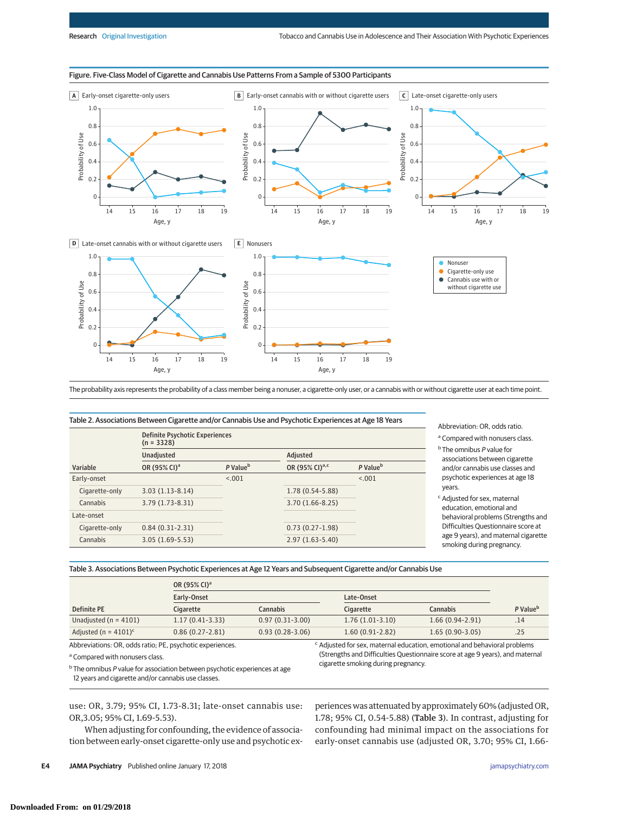## Figure. Five-Class Model of Cigarette and Cannabis Use Patterns From a Sample of 5300 Participants



The probability axis represents the probability of a class member being a nonuser, a cigarette-only user, or a cannabis with or without cigarette user at each time point.

|                | ADDIEVIATIOII:                                        |                      |                            |                      |                                           |
|----------------|-------------------------------------------------------|----------------------|----------------------------|----------------------|-------------------------------------------|
| Variable       | <b>Definite Psychotic Experiences</b><br>$(n = 3328)$ |                      |                            |                      | <sup>a</sup> Compared w                   |
|                | <b>Unadjusted</b>                                     |                      | Adjusted                   |                      | <sup>b</sup> The omnibus<br>associations  |
|                | OR (95% CI) <sup>a</sup>                              | P Value <sup>b</sup> | OR (95% CI) <sup>a,c</sup> | P Value <sup>b</sup> | and/or canna                              |
| Early-onset    |                                                       | < .001               |                            | < .001               | psychotic ex                              |
| Cigarette-only | $3.03(1.13-8.14)$                                     |                      | $1.78(0.54 - 5.88)$        |                      | years.                                    |
| Cannabis       | $3.79(1.73-8.31)$                                     |                      | $3.70(1.66 - 8.25)$        |                      | <sup>c</sup> Adjusted for<br>education, e |
| Late-onset     |                                                       |                      |                            |                      | behavioral p                              |
| Cigarette-only | $0.84(0.31-2.31)$                                     |                      | $0.73(0.27-1.98)$          |                      | Difficulties C                            |
| Cannabis       | $3.05(1.69-5.53)$                                     |                      | $2.97(1.63 - 5.40)$        |                      | age 9 years)<br>smoking dur               |

Abbreviation: OR, odds ratio.

vith nonusers class.

s P value for between cigarette abis use classes and periences at age 18

sex, maternal emotional and oroblems (Strengths and Questionnaire score at . and maternal cigarette ring pregnancy.

| Table 3. Associations Between Psychotic Experiences at Age 12 Years and Subsequent Cigarette and/or Cannabis Use |  |
|------------------------------------------------------------------------------------------------------------------|--|
|------------------------------------------------------------------------------------------------------------------|--|

|                                     | OR $(95\%$ CI) <sup>a</sup> |                   |                   |                   |                      |
|-------------------------------------|-----------------------------|-------------------|-------------------|-------------------|----------------------|
|                                     | Early-Onset                 |                   | Late-Onset        |                   |                      |
| Definite PE                         | Cigarette                   | Cannabis          | Cigarette         | Cannabis          | P Value <sup>b</sup> |
| Unadjusted ( $n = 4101$ )           | $1.17(0.41-3.33)$           | $0.97(0.31-3.00)$ | $1.76(1.01-3.10)$ | $1.66(0.94-2.91)$ | .14                  |
| Adjusted (n = $4101$ ) <sup>c</sup> | $0.86(0.27 - 2.81)$         | $0.93(0.28-3.06)$ | $1.60(0.91-2.82)$ | $1.65(0.90-3.05)$ | .25                  |

Abbreviations: OR, odds ratio; PE, psychotic experiences.

<sup>a</sup> Compared with nonusers class.

 $b$  The omnibus P value for association between psychotic experiences at age 12 years and cigarette and/or cannabis use classes.

<sup>c</sup> Adjusted for sex, maternal education, emotional and behavioral problems (Strengths and Difficulties Questionnaire score at age 9 years), and maternal cigarette smoking during pregnancy.

use: OR, 3.79; 95% CI, 1.73-8.31; late-onset cannabis use: OR,3.05; 95% CI, 1.69-5.53).

When adjusting for confounding, the evidence of association between early-onset cigarette-only use and psychotic ex-

**E4 JAMA Psychiatry** Published online January 17, 2018 **(Reprinted)** [jamapsychiatry.com](http://www.jamapsychiatry.com/?utm_campaign=articlePDF%26utm_medium=articlePDFlink%26utm_source=articlePDF%26utm_content=jamapsychiatry.2017.4271)

periences was attenuated by approximately 60% (adjusted OR, 1.78; 95% CI, 0.54-5.88) (Table 3). In contrast, adjusting for confounding had minimal impact on the associations for early-onset cannabis use (adjusted OR, 3.70; 95% CI, 1.66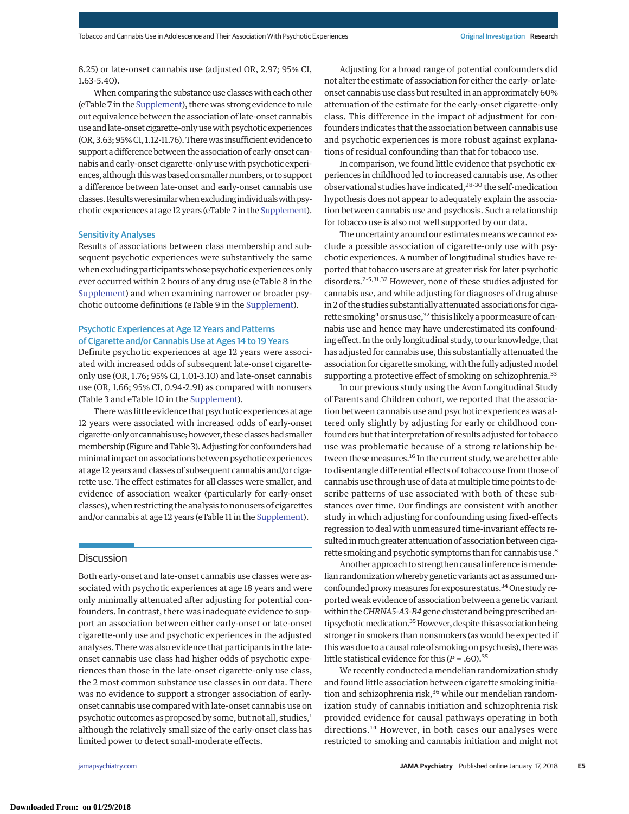8.25) or late-onset cannabis use (adjusted OR, 2.97; 95% CI, 1.63-5.40).

When comparing the substance use classes with each other (eTable 7 in the [Supplement\)](http://jama.jamanetwork.com/article.aspx?doi=10.1001/jamapsychiatry.2017.4271&utm_campaign=articlePDF%26utm_medium=articlePDFlink%26utm_source=articlePDF%26utm_content=jamapsychiatry.2017.4271), there was strong evidence to rule out equivalence between the association of late-onset cannabis use and late-onset cigarette-onlyusewith psychotic experiences (OR, 3.63; 95% CI, 1.12-11.76). Therewas insufficient evidence to support a difference between the association of early-onset cannabis and early-onset cigarette-only use with psychotic experiences, although thiswasbasedon smallernumbers,or to support a difference between late-onset and early-onset cannabis use classes.Resultsweresimilarwhenexcluding individualswithpsychotic experiences at age 12 years (eTable 7 in the [Supplement\)](http://jama.jamanetwork.com/article.aspx?doi=10.1001/jamapsychiatry.2017.4271&utm_campaign=articlePDF%26utm_medium=articlePDFlink%26utm_source=articlePDF%26utm_content=jamapsychiatry.2017.4271).

## Sensitivity Analyses

Results of associations between class membership and subsequent psychotic experiences were substantively the same when excluding participants whose psychotic experiences only ever occurred within 2 hours of any drug use (eTable 8 in the [Supplement\)](http://jama.jamanetwork.com/article.aspx?doi=10.1001/jamapsychiatry.2017.4271&utm_campaign=articlePDF%26utm_medium=articlePDFlink%26utm_source=articlePDF%26utm_content=jamapsychiatry.2017.4271) and when examining narrower or broader psychotic outcome definitions (eTable 9 in the [Supplement\)](http://jama.jamanetwork.com/article.aspx?doi=10.1001/jamapsychiatry.2017.4271&utm_campaign=articlePDF%26utm_medium=articlePDFlink%26utm_source=articlePDF%26utm_content=jamapsychiatry.2017.4271).

# Psychotic Experiences at Age 12 Years and Patterns of Cigarette and/or Cannabis Use at Ages 14 to 19 Years

Definite psychotic experiences at age 12 years were associated with increased odds of subsequent late-onset cigaretteonly use (OR, 1.76; 95% CI, 1.01-3.10) and late-onset cannabis use (OR, 1.66; 95% CI, 0.94-2.91) as compared with nonusers (Table 3 and eTable 10 in the [Supplement\)](http://jama.jamanetwork.com/article.aspx?doi=10.1001/jamapsychiatry.2017.4271&utm_campaign=articlePDF%26utm_medium=articlePDFlink%26utm_source=articlePDF%26utm_content=jamapsychiatry.2017.4271).

There was little evidence that psychotic experiences at age 12 years were associated with increased odds of early-onset cigarette-only or cannabis use; however, these classes had smaller membership (Figure and Table 3). Adjusting for confounders had minimal impact on associations between psychotic experiences at age 12 years and classes of subsequent cannabis and/or cigarette use. The effect estimates for all classes were smaller, and evidence of association weaker (particularly for early-onset classes), when restricting the analysis to nonusers of cigarettes and/or cannabis at age 12 years (eTable 11 in the [Supplement\)](http://jama.jamanetwork.com/article.aspx?doi=10.1001/jamapsychiatry.2017.4271&utm_campaign=articlePDF%26utm_medium=articlePDFlink%26utm_source=articlePDF%26utm_content=jamapsychiatry.2017.4271).

# Discussion

Both early-onset and late-onset cannabis use classes were associated with psychotic experiences at age 18 years and were only minimally attenuated after adjusting for potential confounders. In contrast, there was inadequate evidence to support an association between either early-onset or late-onset cigarette-only use and psychotic experiences in the adjusted analyses. There was also evidence that participants in the lateonset cannabis use class had higher odds of psychotic experiences than those in the late-onset cigarette-only use class, the 2 most common substance use classes in our data. There was no evidence to support a stronger association of earlyonset cannabis use compared with late-onset cannabis use on psychotic outcomes as proposed by some, but not all, studies,<sup>1</sup> although the relatively small size of the early-onset class has limited power to detect small-moderate effects.

Adjusting for a broad range of potential confounders did not alter the estimate of association for either the early- or lateonset cannabis use class but resulted in an approximately 60% attenuation of the estimate for the early-onset cigarette-only class. This difference in the impact of adjustment for confounders indicates that the association between cannabis use and psychotic experiences is more robust against explanations of residual confounding than that for tobacco use.

In comparison, we found little evidence that psychotic experiences in childhood led to increased cannabis use. As other observational studies have indicated,<sup>28-30</sup> the self-medication hypothesis does not appear to adequately explain the association between cannabis use and psychosis. Such a relationship for tobacco use is also not well supported by our data.

The uncertainty around our estimates means we cannot exclude a possible association of cigarette-only use with psychotic experiences. A number of longitudinal studies have reported that tobacco users are at greater risk for later psychotic disorders.2-5,31,32 However, none of these studies adjusted for cannabis use, and while adjusting for diagnoses of drug abuse in 2 of the studies substantially attenuated associations for cigarette smoking<sup>4</sup> or snus use,  $32$  this is likely a poor measure of cannabis use and hence may have underestimated its confounding effect. In the only longitudinal study, to our knowledge, that has adjusted for cannabis use, this substantially attenuated the association for cigarette smoking, with the fully adjusted model supporting a protective effect of smoking on schizophrenia.<sup>33</sup>

In our previous study using the Avon Longitudinal Study of Parents and Children cohort, we reported that the association between cannabis use and psychotic experiences was altered only slightly by adjusting for early or childhood confounders but that interpretation of results adjusted for tobacco use was problematic because of a strong relationship between these measures.<sup>16</sup> In the current study, we are better able to disentangle differential effects of tobacco use from those of cannabis use through use of data at multiple time points to describe patterns of use associated with both of these substances over time. Our findings are consistent with another study in which adjusting for confounding using fixed-effects regression to deal with unmeasured time-invariant effects resulted in much greater attenuation of association between cigarette smoking and psychotic symptoms than for cannabis use.<sup>8</sup>

Another approach to strengthen causal inference is mendelian randomization whereby genetic variants act as assumed unconfounded proxy measures for exposure status.<sup>34</sup> One study reported weak evidence of association between a genetic variant within the*CHRNA5-A3-B4*gene cluster and being prescribed antipsychotic medication.<sup>35</sup> However, despite this association being stronger in smokers than nonsmokers (as would be expected if thiswas due to a causal role of smoking on psychosis), therewas little statistical evidence for this  $(P = .60).^{35}$ 

We recently conducted a mendelian randomization study and found little association between cigarette smoking initiation and schizophrenia risk,<sup>36</sup> while our mendelian randomization study of cannabis initiation and schizophrenia risk provided evidence for causal pathways operating in both directions.<sup>14</sup> However, in both cases our analyses were restricted to smoking and cannabis initiation and might not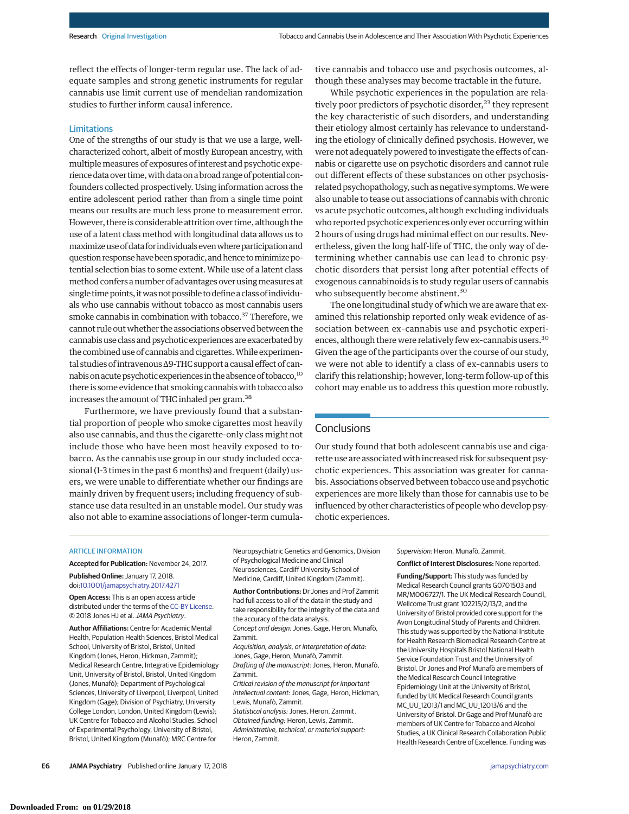reflect the effects of longer-term regular use. The lack of adequate samples and strong genetic instruments for regular cannabis use limit current use of mendelian randomization studies to further inform causal inference.

## Limitations

One of the strengths of our study is that we use a large, wellcharacterized cohort, albeit of mostly European ancestry, with multiple measures of exposures of interest and psychotic experience data over time, with data on a broad range of potential confounders collected prospectively. Using information across the entire adolescent period rather than from a single time point means our results are much less prone to measurement error. However, there is considerable attrition over time, although the use of a latent class method with longitudinal data allows us to maximize use of data for individuals even where participation and question response have been sporadic, and hence to minimize potential selection bias to some extent. While use of a latent class method confers a number of advantages over usingmeasures at single time points, it was not possible to define a class of individuals who use cannabis without tobacco as most cannabis users smoke cannabis in combination with tobacco.<sup>37</sup> Therefore, we cannot rule out whether the associations observed between the cannabis use class and psychotic experiences are exacerbated by the combined use of cannabis and cigarettes.While experimental studies of intravenous Δ9-THC support a causal effect of cannabis on acute psychotic experiences in the absence of tobacco,<sup>10</sup> there is some evidence that smoking cannabiswith tobacco also increases the amount of THC inhaled per gram.<sup>38</sup>

Furthermore, we have previously found that a substantial proportion of people who smoke cigarettes most heavily also use cannabis, and thus the cigarette-only class might not include those who have been most heavily exposed to tobacco. As the cannabis use group in our study included occasional (1-3 times in the past 6 months) and frequent (daily) users, we were unable to differentiate whether our findings are mainly driven by frequent users; including frequency of substance use data resulted in an unstable model. Our study was also not able to examine associations of longer-term cumulative cannabis and tobacco use and psychosis outcomes, although these analyses may become tractable in the future.

While psychotic experiences in the population are relatively poor predictors of psychotic disorder,<sup>23</sup> they represent the key characteristic of such disorders, and understanding their etiology almost certainly has relevance to understanding the etiology of clinically defined psychosis. However, we were not adequately powered to investigate the effects of cannabis or cigarette use on psychotic disorders and cannot rule out different effects of these substances on other psychosisrelated psychopathology, such as negative symptoms.We were also unable to tease out associations of cannabis with chronic vs acute psychotic outcomes, although excluding individuals who reported psychotic experiences only ever occurring within 2 hours of using drugs had minimal effect on our results. Nevertheless, given the long half-life of THC, the only way of determining whether cannabis use can lead to chronic psychotic disorders that persist long after potential effects of exogenous cannabinoids is to study regular users of cannabis who subsequently become abstinent.<sup>30</sup>

The one longitudinal study of which we are aware that examined this relationship reported only weak evidence of association between ex–cannabis use and psychotic experiences, although there were relatively few ex–cannabis users.30 Given the age of the participants over the course of our study, we were not able to identify a class of ex–cannabis users to clarify this relationship; however, long-term follow-up of this cohort may enable us to address this question more robustly.

## **Conclusions**

Our study found that both adolescent cannabis use and cigarette use are associated with increased risk for subsequent psychotic experiences. This association was greater for cannabis. Associations observed between tobacco use and psychotic experiences are more likely than those for cannabis use to be influenced by other characteristics of people who develop psychotic experiences.

#### ARTICLE INFORMATION

**Accepted for Publication:** November 24, 2017.

**Published Online:** January 17, 2018. doi[:10.1001/jamapsychiatry.2017.4271](http://jama.jamanetwork.com/article.aspx?doi=10.1001/jamapsychiatry.2017.4271&utm_campaign=articlePDF%26utm_medium=articlePDFlink%26utm_source=articlePDF%26utm_content=jamapsychiatry.2017.4271)

**Open Access:** This is an open access article distributed under the terms of the [CC-BY License.](http://jamanetwork.com/journals/jamapsychiatry/pages/instructions-for-authors#SecOpenAccess/?utm_campaign=articlePDF%26utm_medium=articlePDFlink%26utm_source=articlePDF%26utm_content=jamapsychiatry.2017.4271) © 2018 Jones HJ et al.JAMA Psychiatry.

**Author Affiliations:** Centre for Academic Mental Health, Population Health Sciences, Bristol Medical School, University of Bristol, Bristol, United Kingdom (Jones, Heron, Hickman, Zammit); Medical Research Centre, Integrative Epidemiology Unit, University of Bristol, Bristol, United Kingdom (Jones, Munafò); Department of Psychological Sciences, University of Liverpool, Liverpool, United Kingdom (Gage); Division of Psychiatry, University College London, London, United Kingdom (Lewis); UK Centre for Tobacco and Alcohol Studies, School of Experimental Psychology, University of Bristol, Bristol, United Kingdom (Munafò); MRC Centre for

Neuropsychiatric Genetics and Genomics, Division of Psychological Medicine and Clinical Neurosciences, Cardiff University School of Medicine, Cardiff, United Kingdom (Zammit).

**Author Contributions:** Dr Jones and Prof Zammit had full access to all of the data in the study and take responsibility for the integrity of the data and the accuracy of the data analysis. Concept and design: Jones, Gage, Heron, Munafò,

Zammit.

Acquisition, analysis, or interpretation of data: Jones, Gage, Heron, Munafò, Zammit. Drafting of the manuscript: Jones, Heron, Munafò, Zammit.

Critical revision of the manuscript for important intellectual content: Jones, Gage, Heron, Hickman, Lewis, Munafò, Zammit.

Statistical analysis: Jones, Heron, Zammit. Obtained funding: Heron, Lewis, Zammit. Administrative, technical, or material support: Heron, Zammit.

Supervision: Heron, Munafò, Zammit.

**Conflict of Interest Disclosures:** None reported.

**Funding/Support:** This study was funded by Medical Research Council grants G0701503 and MR/M006727/1. The UK Medical Research Council, Wellcome Trust grant 102215/2/13/2, and the University of Bristol provided core support for the Avon Longitudinal Study of Parents and Children. This study was supported by the National Institute for Health Research Biomedical Research Centre at the University Hospitals Bristol National Health Service Foundation Trust and the University of Bristol. Dr Jones and Prof Munafò are members of the Medical Research Council Integrative Epidemiology Unit at the University of Bristol, funded by UK Medical Research Council grants MC\_UU\_12013/1 and MC\_UU\_12013/6 and the University of Bristol. Dr Gage and Prof Munafò are members of UK Centre for Tobacco and Alcohol Studies, a UK Clinical Research Collaboration Public Health Research Centre of Excellence. Funding was